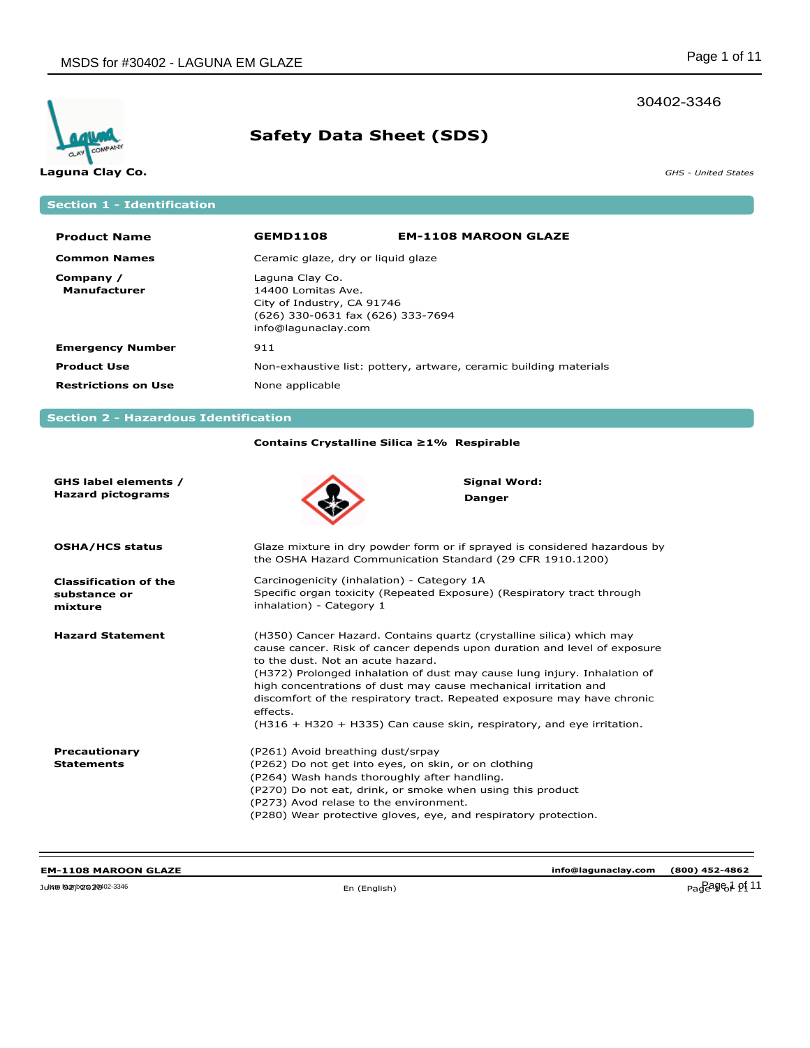### 30402-3346



# **Safety Data Sheet (SDS)**

**Laguna Clay Co.** *GHS - United States*

**Section 1 - Identification**

| <b>Product Name</b>        | <b>GEMD1108</b>                                                                                                                 | <b>EM-1108 MAROON GLAZE</b> |
|----------------------------|---------------------------------------------------------------------------------------------------------------------------------|-----------------------------|
| <b>Common Names</b>        | Ceramic glaze, dry or liquid glaze                                                                                              |                             |
| Company /<br>Manufacturer  | Laguna Clay Co.<br>14400 Lomitas Ave.<br>City of Industry, CA 91746<br>(626) 330-0631 fax (626) 333-7694<br>info@lagunaclay.com |                             |
| <b>Emergency Number</b>    | 911                                                                                                                             |                             |
| <b>Product Use</b>         | Non-exhaustive list: pottery, artware, ceramic building materials                                                               |                             |
| <b>Restrictions on Use</b> | None applicable                                                                                                                 |                             |

## **Section 2 - Hazardous Identification**

### **Contains Crystalline Silica ≥1% Respirable**

| GHS label elements /<br><b>Hazard pictograms</b>        | Signal Word:<br><b>Danger</b>                                                                                                                                                                                                                                                                                                                                                                                                                                                                        |
|---------------------------------------------------------|------------------------------------------------------------------------------------------------------------------------------------------------------------------------------------------------------------------------------------------------------------------------------------------------------------------------------------------------------------------------------------------------------------------------------------------------------------------------------------------------------|
| <b>OSHA/HCS status</b>                                  | Glaze mixture in dry powder form or if sprayed is considered hazardous by<br>the OSHA Hazard Communication Standard (29 CFR 1910.1200)                                                                                                                                                                                                                                                                                                                                                               |
| <b>Classification of the</b><br>substance or<br>mixture | Carcinogenicity (inhalation) - Category 1A<br>Specific organ toxicity (Repeated Exposure) (Respiratory tract through<br>inhalation) - Category 1                                                                                                                                                                                                                                                                                                                                                     |
| <b>Hazard Statement</b>                                 | (H350) Cancer Hazard. Contains quartz (crystalline silica) which may<br>cause cancer. Risk of cancer depends upon duration and level of exposure<br>to the dust. Not an acute hazard.<br>(H372) Prolonged inhalation of dust may cause lung injury. Inhalation of<br>high concentrations of dust may cause mechanical irritation and<br>discomfort of the respiratory tract. Repeated exposure may have chronic<br>effects.<br>(H316 + H320 + H335) Can cause skin, respiratory, and eye irritation. |
| Precautionary<br><b>Statements</b>                      | (P261) Avoid breathing dust/srpay<br>(P262) Do not get into eyes, on skin, or on clothing<br>(P264) Wash hands thoroughly after handling.<br>(P270) Do not eat, drink, or smoke when using this product<br>(P273) Avod relase to the environment.<br>(P280) Wear protective gloves, eye, and respiratory protection.                                                                                                                                                                                 |

**info@lagunaclay.com (800) 452-4862**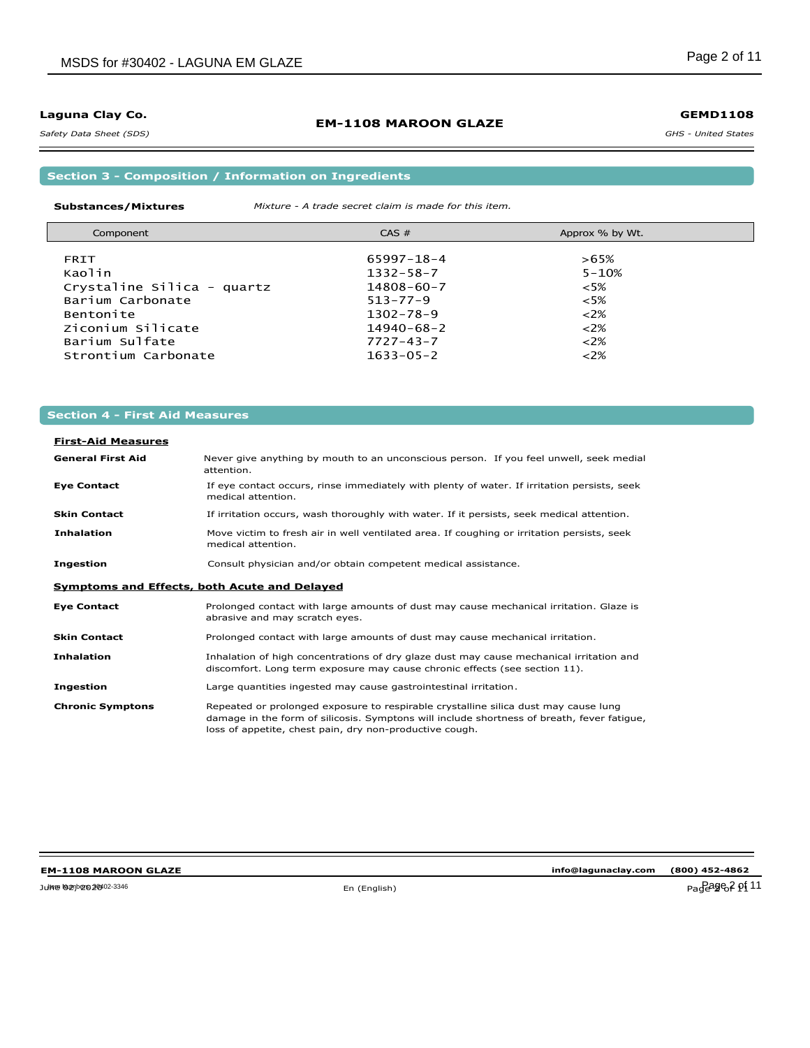### *Safety Data Sheet (SDS)*

### **EM-1108 MAROON GLAZE**

### **GEMD1108**

*GHS - United States*

**Section 3 - Composition / Information on Ingredients**

#### **Substances/Mixtures** *Mixture - A trade secret claim is made for this item.*

| Component                  | $CAS \#$         | Approx % by Wt. |  |
|----------------------------|------------------|-----------------|--|
|                            |                  |                 |  |
| <b>FRIT</b>                | $65997 - 18 - 4$ | $>65\%$         |  |
| Kaolin                     | $1332 - 58 - 7$  | $5 - 10%$       |  |
| Crystaline Silica - quartz | $14808 - 60 - 7$ | $<5\%$          |  |
| Barium Carbonate           | $513 - 77 - 9$   | $<5\%$          |  |
| Bentonite                  | $1302 - 78 - 9$  | $<2\%$          |  |
| Ziconium Silicate          | $14940 - 68 - 2$ | $<2\%$          |  |
| Barium Sulfate             | $7727 - 43 - 7$  | $<2\%$          |  |
| Strontium Carbonate        | $1633 - 05 - 2$  | $<2\%$          |  |

### **Section 4 - First Aid Measures**

# **First-Aid Measures**

| <b>General First Aid</b> | Never give anything by mouth to an unconscious person. If you feel unwell, seek medial<br>attention.                                                                                                                                         |
|--------------------------|----------------------------------------------------------------------------------------------------------------------------------------------------------------------------------------------------------------------------------------------|
| <b>Eye Contact</b>       | If eye contact occurs, rinse immediately with plenty of water. If irritation persists, seek<br>medical attention.                                                                                                                            |
| <b>Skin Contact</b>      | If irritation occurs, wash thoroughly with water. If it persists, seek medical attention.                                                                                                                                                    |
| <b>Inhalation</b>        | Move victim to fresh air in well ventilated area. If coughing or irritation persists, seek<br>medical attention.                                                                                                                             |
| <b>Ingestion</b>         | Consult physician and/or obtain competent medical assistance.                                                                                                                                                                                |
|                          | Symptoms and Effects, both Acute and Delayed                                                                                                                                                                                                 |
| <b>Eye Contact</b>       | Prolonged contact with large amounts of dust may cause mechanical irritation. Glaze is<br>abrasive and may scratch eyes.                                                                                                                     |
| <b>Skin Contact</b>      | Prolonged contact with large amounts of dust may cause mechanical irritation.                                                                                                                                                                |
| <b>Inhalation</b>        | Inhalation of high concentrations of dry glaze dust may cause mechanical irritation and<br>discomfort. Long term exposure may cause chronic effects (see section 11).                                                                        |
| <b>Ingestion</b>         | Large quantities ingested may cause gastrointestinal irritation.                                                                                                                                                                             |
| <b>Chronic Symptons</b>  | Repeated or prolonged exposure to respirable crystalline silica dust may cause lung<br>damage in the form of silicosis. Symptons will include shortness of breath, fever fatique,<br>loss of appetite, chest pain, dry non-productive cough. |

### **EM-1108 MAROON GLAZE**

**info@lagunaclay.com (800) 452-4862**

June 02, 2020 En (English) Page 2 of 11 Item Numbers: 30402-3346 Page 2 of 11

-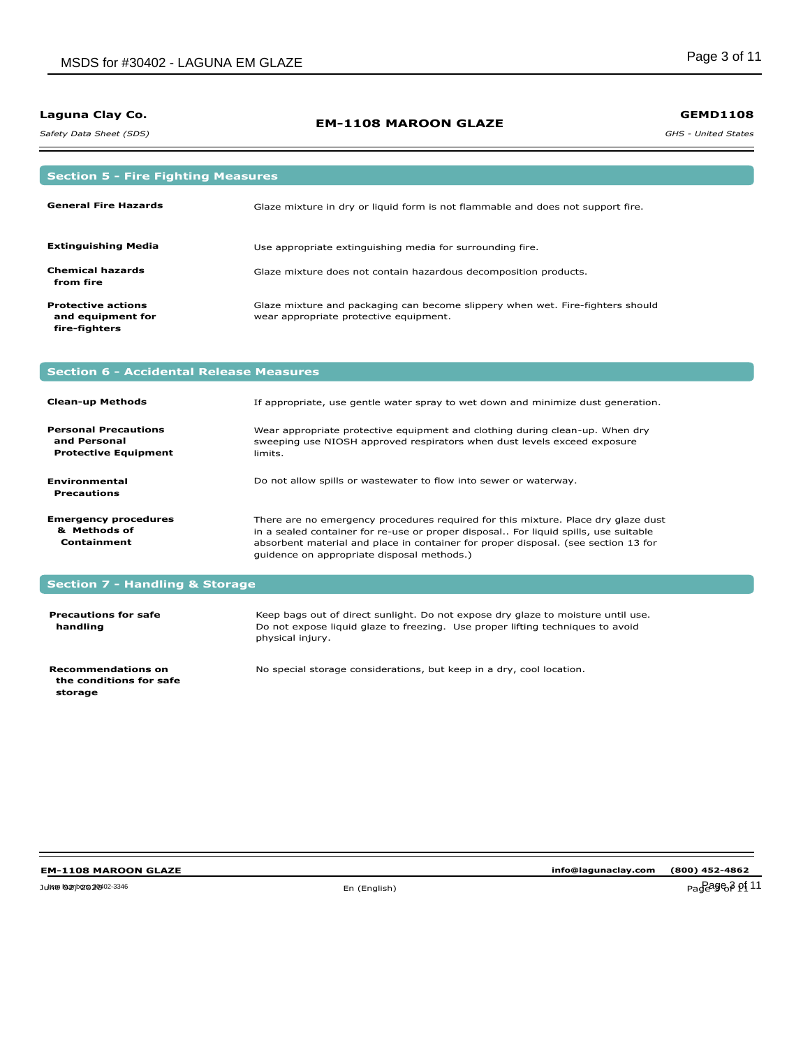*Safety Data Sheet (SDS)* 

### **EM-1108 MAROON GLAZE**

**GEMD1108**

*GHS - United States*

| <b>Section 5 - Fire Fighting Measures</b>                                  |                                                                                                                                                                     |
|----------------------------------------------------------------------------|---------------------------------------------------------------------------------------------------------------------------------------------------------------------|
| <b>General Fire Hazards</b>                                                | Glaze mixture in dry or liquid form is not flammable and does not support fire.                                                                                     |
| <b>Extinguishing Media</b>                                                 | Use appropriate extinguishing media for surrounding fire.                                                                                                           |
| <b>Chemical hazards</b><br>from fire                                       | Glaze mixture does not contain hazardous decomposition products.                                                                                                    |
| <b>Protective actions</b><br>and equipment for<br>fire-fighters            | Glaze mixture and packaging can become slippery when wet. Fire-fighters should<br>wear appropriate protective equipment.                                            |
| <b>Section 6 - Accidental Release Measures</b>                             |                                                                                                                                                                     |
| <b>Clean-up Methods</b>                                                    | If appropriate, use gentle water spray to wet down and minimize dust generation.                                                                                    |
| <b>Personal Precautions</b><br>and Personal<br><b>Protective Equipment</b> | Wear appropriate protective equipment and clothing during clean-up. When dry<br>sweeping use NIOSH approved respirators when dust levels exceed exposure<br>limits. |
| <b>Environmental</b><br><b>Precautions</b>                                 | Do not allow spills or wastewater to flow into sewer or waterway.                                                                                                   |

**Emergency procedures & Methods of Containment** There are no emergency procedures required for this mixture. Place dry glaze dust in a sealed container for re-use or proper disposal.. For liquid spills, use suitable absorbent material and place in container for proper disposal. (see section 13 for guidence on appropriate disposal methods.)

### **Section 7 - Handling & Storage**

| <b>Precautions for safe</b><br>handling              | Keep bags out of direct sunlight. Do not expose dry glaze to moisture until use.<br>Do not expose liquid glaze to freezing. Use proper lifting techniques to avoid<br>physical injury. |
|------------------------------------------------------|----------------------------------------------------------------------------------------------------------------------------------------------------------------------------------------|
| <b>Recommendations on</b><br>the conditions for safe | No special storage considerations, but keep in a dry, cool location.                                                                                                                   |

#### **EM-1108 MAROON GLAZE**

 **storage**

**info@lagunaclay.com (800) 452-4862**

June 02, 2020 En (English) Page 3 of 11 Item Numbers: 30402-3346 Page 3 of 11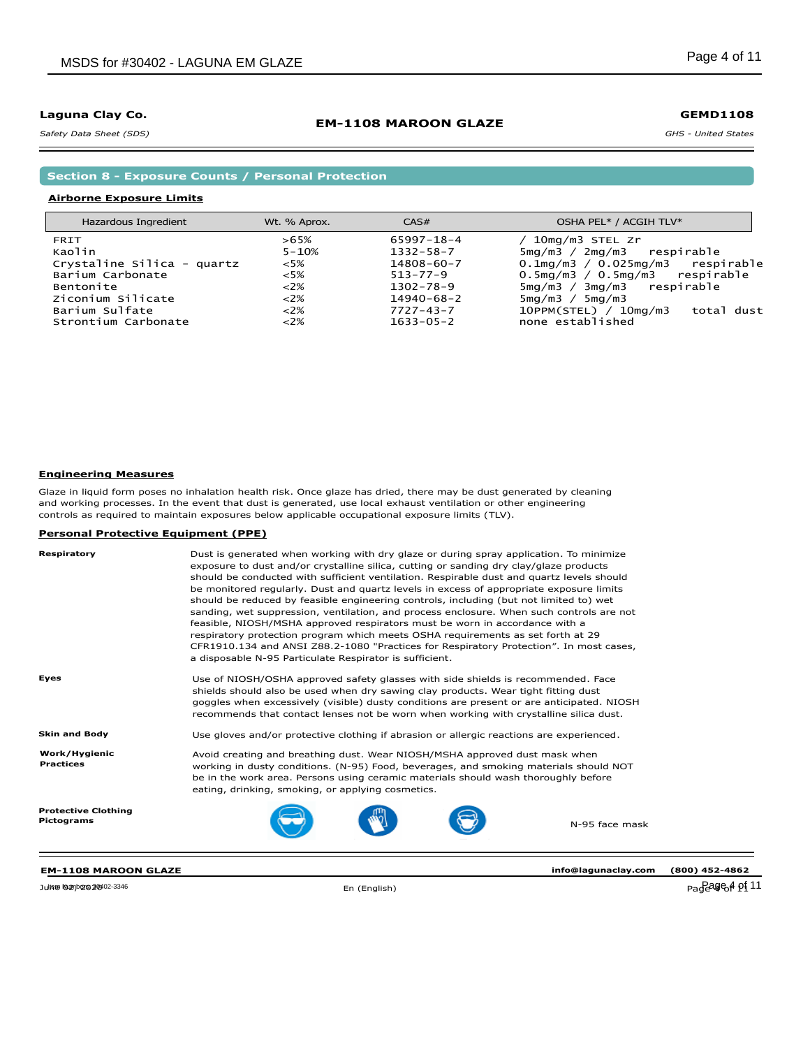*Safety Data Sheet (SDS)* 

### **EM-1108 MAROON GLAZE**

*GHS - United States* **GEMD1108**

**Section 8 - Exposure Counts / Personal Protection**

### **Airborne Exposure Limits**

| Hazardous Ingredient       | Wt. % Aprox. | CAS#             | OSHA PEL* / ACGIH TLV*                    |
|----------------------------|--------------|------------------|-------------------------------------------|
| FRIT                       | $>65\%$      | $65997 - 18 - 4$ | 10mg/m3 STEL Zr                           |
| Kaolin                     | $5 - 10%$    | $1332 - 58 - 7$  | $5mg/m3 / 2mg/m3$ respirable              |
| Crystaline Silica - quartz | $<5\%$       | $14808 - 60 - 7$ | $0.1$ mg/m $3/0.025$ mg/m $3$ respirable  |
| Barium Carbonate           | $<5\%$       | $513 - 77 - 9$   | $0.5$ mg/m $3/0.5$ mg/m $3$ respirable    |
| Bentonite                  | $<2\%$       | $1302 - 78 - 9$  | $5mg/m3 / 3mg/m3$ respirable              |
| Ziconium Silicate          | 22%          | $14940 - 68 - 2$ | 5mg/m3 / 5mg/m3                           |
| Barium Sulfate             | 22%          | $7727 - 43 - 7$  | $10$ PPM(STEL) / $10$ mg/m3<br>total dust |
| Strontium Carbonate        | $<2\%$       | $1633 - 05 - 2$  | none established                          |
|                            |              |                  |                                           |

#### **Engineering Measures**

Glaze in liquid form poses no inhalation health risk. Once glaze has dried, there may be dust generated by cleaning and working processes. In the event that dust is generated, use local exhaust ventilation or other engineering controls as required to maintain exposures below applicable occupational exposure limits (TLV).

#### **Personal Protective Equipment (PPE)**

| Respiratory                              | Dust is generated when working with dry glaze or during spray application. To minimize<br>exposure to dust and/or crystalline silica, cutting or sanding dry clay/glaze products<br>should be conducted with sufficient ventilation. Respirable dust and quartz levels should<br>be monitored regularly. Dust and quartz levels in excess of appropriate exposure limits<br>should be reduced by feasible engineering controls, including (but not limited to) wet<br>sanding, wet suppression, ventilation, and process enclosure. When such controls are not<br>feasible, NIOSH/MSHA approved respirators must be worn in accordance with a<br>respiratory protection program which meets OSHA requirements as set forth at 29<br>CFR1910.134 and ANSI Z88.2-1080 "Practices for Respiratory Protection". In most cases,<br>a disposable N-95 Particulate Respirator is sufficient. |  |
|------------------------------------------|---------------------------------------------------------------------------------------------------------------------------------------------------------------------------------------------------------------------------------------------------------------------------------------------------------------------------------------------------------------------------------------------------------------------------------------------------------------------------------------------------------------------------------------------------------------------------------------------------------------------------------------------------------------------------------------------------------------------------------------------------------------------------------------------------------------------------------------------------------------------------------------|--|
| Eyes                                     | Use of NIOSH/OSHA approved safety glasses with side shields is recommended. Face<br>shields should also be used when dry sawing clay products. Wear tight fitting dust<br>goggles when excessively (visible) dusty conditions are present or are anticipated. NIOSH<br>recommends that contact lenses not be worn when working with crystalline silica dust.                                                                                                                                                                                                                                                                                                                                                                                                                                                                                                                          |  |
| <b>Skin and Body</b>                     | Use gloves and/or protective clothing if abrasion or allergic reactions are experienced.                                                                                                                                                                                                                                                                                                                                                                                                                                                                                                                                                                                                                                                                                                                                                                                              |  |
| Work/Hygienic<br><b>Practices</b>        | Avoid creating and breathing dust. Wear NIOSH/MSHA approved dust mask when<br>working in dusty conditions. (N-95) Food, beverages, and smoking materials should NOT<br>be in the work area. Persons using ceramic materials should wash thoroughly before<br>eating, drinking, smoking, or applying cosmetics.                                                                                                                                                                                                                                                                                                                                                                                                                                                                                                                                                                        |  |
| <b>Protective Clothing</b><br>Pictograms | N-95 face mask                                                                                                                                                                                                                                                                                                                                                                                                                                                                                                                                                                                                                                                                                                                                                                                                                                                                        |  |

June ଭznbeszew≎-3346 Page 4 of 11 and 2020 En (English) Page 4 of 11 and 2020 Page 4 of 11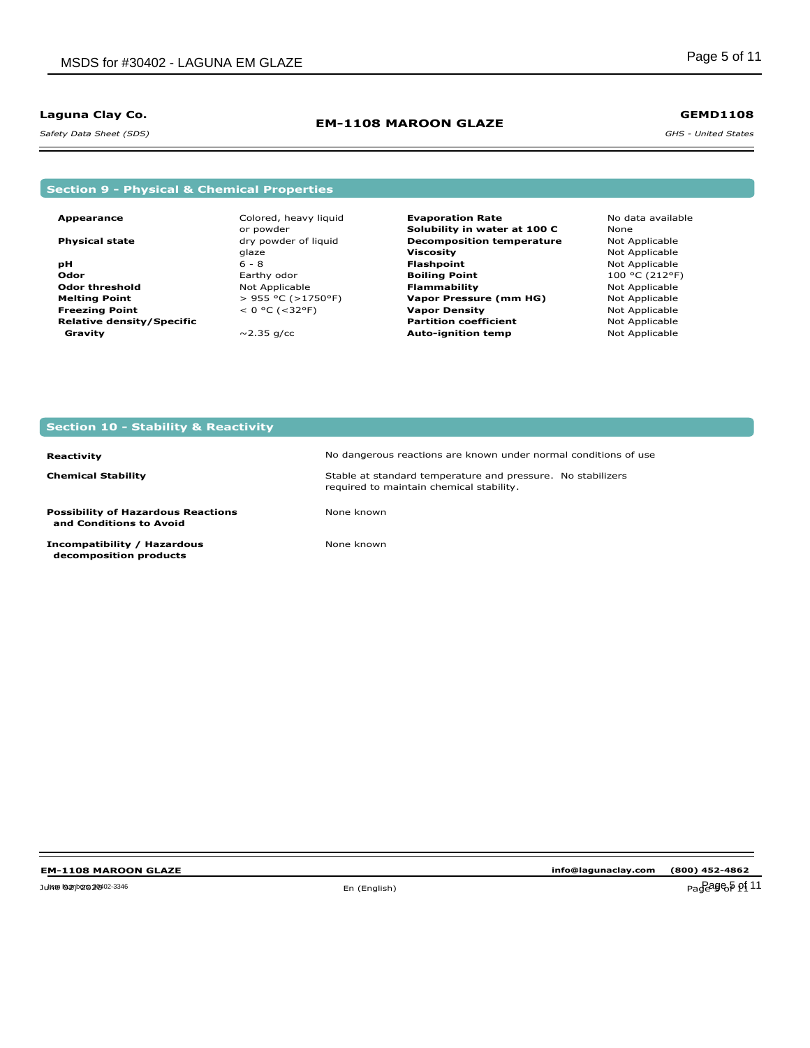*Safety Data Sheet (SDS)* 

### **EM-1108 MAROON GLAZE**

*GHS - United States* **GEMD1108**

### **Section 9 - Physical & Chemical Properties**

**Appearance**

 **Gravity**

**Physical state pH Odor Odor threshold Melting Point Freezing Point Relative density/Specific** Colored, heavy liquid or powder dry powder of liquid glaze 6 - 8 Earthy odor Not Applicable > 955 °C (>1750°F)  $< 0 °C (-32 °F)$  $\sim$  2.35 g/cc

- **Evaporation Rate Solubility in water at 100 C Decomposition temperature Viscosity Flashpoint Boiling Point Flammability Vapor Pressure (mm HG) Vapor Density Partition coefficient Auto-ignition temp**
- No data available None Not Applicable Not Applicable Not Applicable 100 °C (212°F) Not Applicable Not Applicable Not Applicable Not Applicable Not Applicable

### **Section 10 - Stability & Reactivity**

#### **Reactivity**

**Chemical Stability**

**Possibility of Hazardous Reactions and Conditions to Avoid**

**Incompatibility / Hazardous decomposition products**

No dangerous reactions are known under normal conditions of use Stable at standard temperature and pressure. No stabilizers required to maintain chemical stability.

None known

None known

**info@lagunaclay.com (800) 452-4862**

Julie **Numbers** 200402-3346 **Page 5 of 11**  $\epsilon$  (English)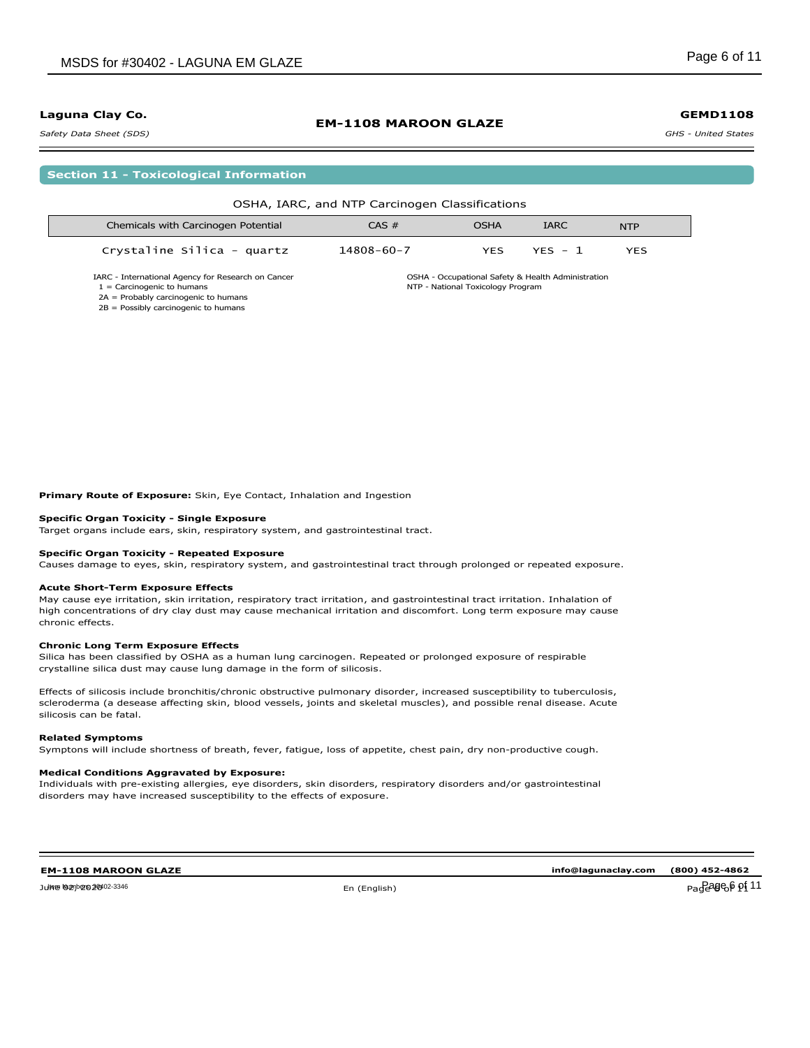#### *Safety Data Sheet (SDS)*

|  | <b>Section 11 - Toxicological Information</b> |  |
|--|-----------------------------------------------|--|
|--|-----------------------------------------------|--|

|                                                                                                                              | OSHA, IARC, and NTP Carcinogen Classifications |                                   |                                                    |            |
|------------------------------------------------------------------------------------------------------------------------------|------------------------------------------------|-----------------------------------|----------------------------------------------------|------------|
| Chemicals with Carcinogen Potential                                                                                          | CAS #                                          | <b>OSHA</b>                       | <b>IARC</b>                                        | <b>NTP</b> |
| Crystaline Silica - quartz                                                                                                   | 14808-60-7                                     | <b>YES</b>                        | $YFS - 1$                                          | <b>YES</b> |
| IARC - International Agency for Research on Cancer<br>$1 =$ Carcinogenic to humans<br>$2A =$ Probably carcinogenic to humans |                                                | NTP - National Toxicology Program | OSHA - Occupational Safety & Health Administration |            |

**EM-1108 MAROON GLAZE**

2A = Probably carcinogenic to humans 2B = Possibly carcinogenic to humans

**Primary Route of Exposure:** Skin, Eye Contact, Inhalation and Ingestion

#### **Specific Organ Toxicity - Single Exposure**

Target organs include ears, skin, respiratory system, and gastrointestinal tract.

#### **Specific Organ Toxicity - Repeated Exposure**

Causes damage to eyes, skin, respiratory system, and gastrointestinal tract through prolonged or repeated exposure.

#### **Acute Short-Term Exposure Effects**

May cause eye irritation, skin irritation, respiratory tract irritation, and gastrointestinal tract irritation. Inhalation of high concentrations of dry clay dust may cause mechanical irritation and discomfort. Long term exposure may cause chronic effects.

#### **Chronic Long Term Exposure Effects**

Silica has been classified by OSHA as a human lung carcinogen. Repeated or prolonged exposure of respirable crystalline silica dust may cause lung damage in the form of silicosis.

Effects of silicosis include bronchitis/chronic obstructive pulmonary disorder, increased susceptibility to tuberculosis, scleroderma (a desease affecting skin, blood vessels, joints and skeletal muscles), and possible renal disease. Acute silicosis can be fatal.

#### **Related Symptoms**

Symptons will include shortness of breath, fever, fatigue, loss of appetite, chest pain, dry non-productive cough.

#### **Medical Conditions Aggravated by Exposure:**

Individuals with pre-existing allergies, eye disorders, skin disorders, respiratory disorders and/or gastrointestinal disorders may have increased susceptibility to the effects of exposure.

### **EM-1108 MAROON GLAZE**

Julie 02, 2002-3346 Degree of the control of the control of the control of the control of  $P_4$  of  $P_3$  of  $P_4$  of  $P_5$   $\rm \rho_1$ Item Numbers: 30402-3346 Page 6 of 11

**info@lagunaclay.com (800) 452-4862**

#### **GEMD1108**

*GHS - United States*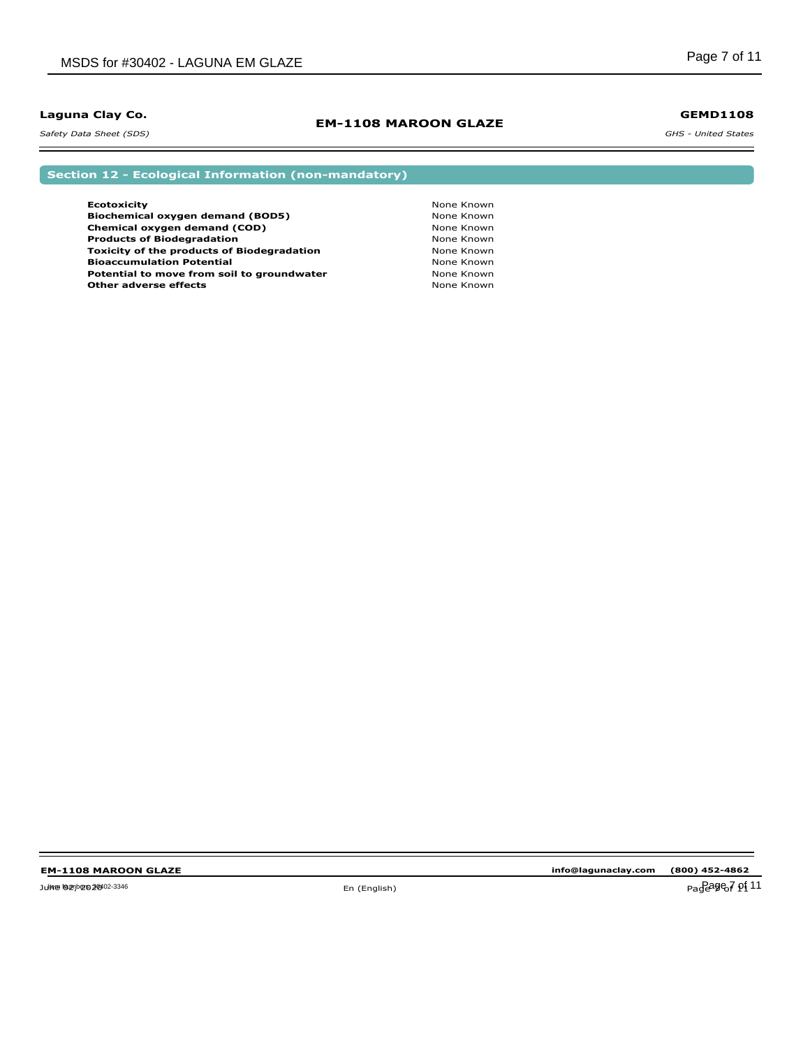*Safety Data Sheet (SDS)* 

### **EM-1108 MAROON GLAZE**

### **GEMD1108**

*GHS - United States*

**Section 12 - Ecological Information (non-mandatory)**

| <b>Ecotoxicity</b>                                | None Known |
|---------------------------------------------------|------------|
| Biochemical oxygen demand (BOD5)                  | None Known |
| Chemical oxygen demand (COD)                      | None Known |
| <b>Products of Biodegradation</b>                 | None Known |
| <b>Toxicity of the products of Biodegradation</b> | None Known |
| <b>Bioaccumulation Potential</b>                  | None Known |
| Potential to move from soil to groundwater        | None Known |
| <b>Other adverse effects</b>                      | None Known |

 $\equiv$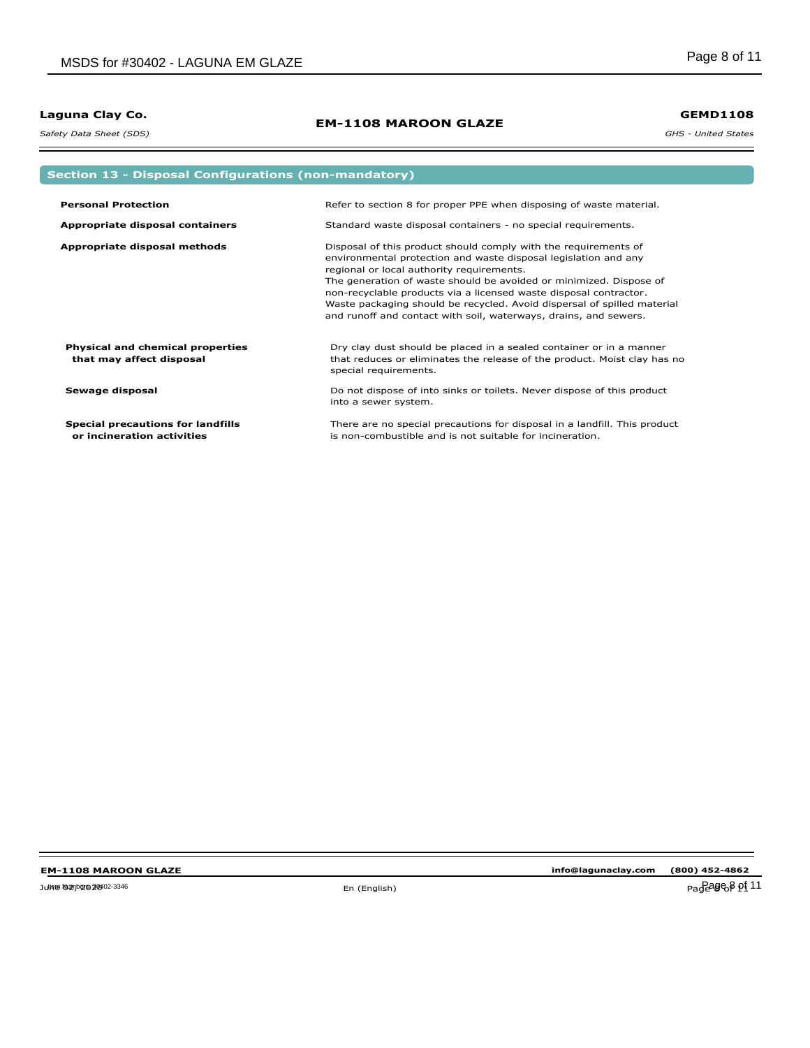*Safety Data Sheet (SDS)* 

## **EM-1108 MAROON GLAZE**

**GEMD1108**

*GHS - United States*

| <b>Section 13 - Disposal Configurations (non-mandatory)</b>            |                                                                                                                                                                                                                                                                                                                                                                                                                                                                           |  |
|------------------------------------------------------------------------|---------------------------------------------------------------------------------------------------------------------------------------------------------------------------------------------------------------------------------------------------------------------------------------------------------------------------------------------------------------------------------------------------------------------------------------------------------------------------|--|
|                                                                        |                                                                                                                                                                                                                                                                                                                                                                                                                                                                           |  |
| <b>Personal Protection</b>                                             | Refer to section 8 for proper PPE when disposing of waste material.                                                                                                                                                                                                                                                                                                                                                                                                       |  |
| Appropriate disposal containers                                        | Standard waste disposal containers - no special requirements.                                                                                                                                                                                                                                                                                                                                                                                                             |  |
| Appropriate disposal methods                                           | Disposal of this product should comply with the requirements of<br>environmental protection and waste disposal legislation and any<br>regional or local authority requirements.<br>The generation of waste should be avoided or minimized. Dispose of<br>non-recyclable products via a licensed waste disposal contractor.<br>Waste packaging should be recycled. Avoid dispersal of spilled material<br>and runoff and contact with soil, waterways, drains, and sewers. |  |
| Physical and chemical properties<br>that may affect disposal           | Dry clay dust should be placed in a sealed container or in a manner<br>that reduces or eliminates the release of the product. Moist clay has no<br>special requirements.                                                                                                                                                                                                                                                                                                  |  |
| Sewage disposal                                                        | Do not dispose of into sinks or toilets. Never dispose of this product<br>into a sewer system.                                                                                                                                                                                                                                                                                                                                                                            |  |
| <b>Special precautions for landfills</b><br>or incineration activities | There are no special precautions for disposal in a landfill. This product<br>is non-combustible and is not suitable for incineration.                                                                                                                                                                                                                                                                                                                                     |  |

June 02, 2020 En (English) Page 8 of 11 Item Numbers: 30402-3346 Page 8 of 11

 $\equiv$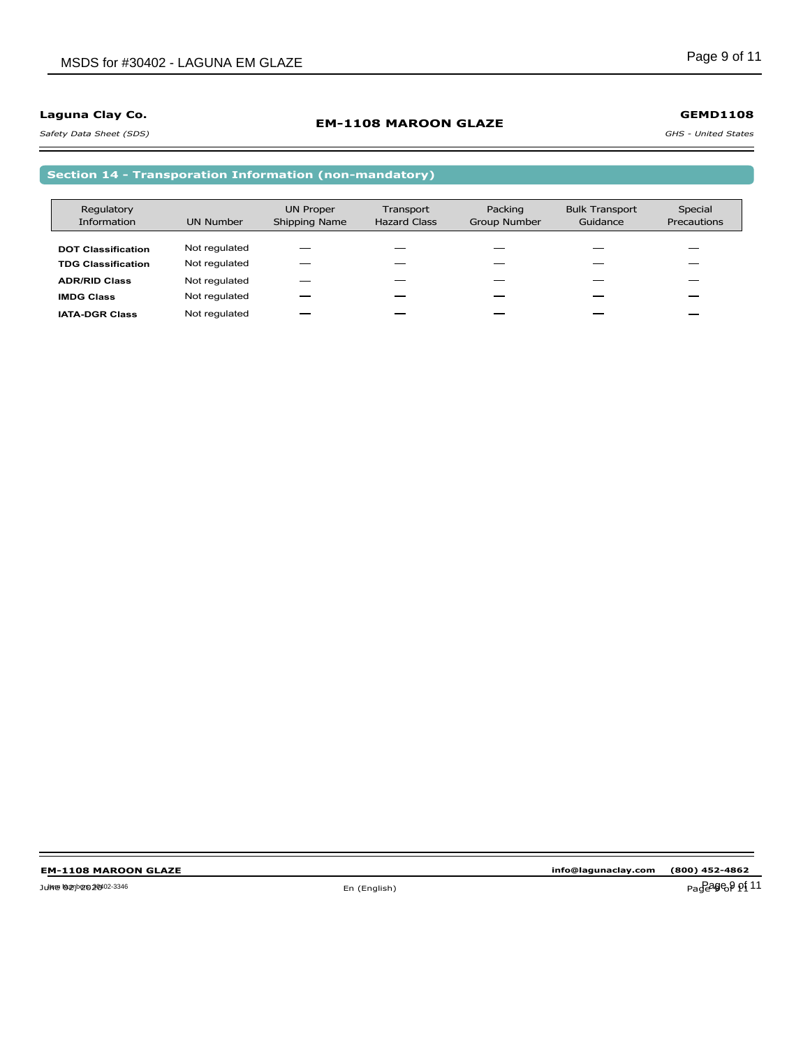### **EM-1108 MAROON GLAZE**

**GEMD1108**

*Safety Data Sheet (SDS)* 

#### *GHS - United States*

**Section 14 - Transporation Information (non-mandatory)**

| Regulatory                |                  | <b>UN Proper</b> | Transport           | Packing      | <b>Bulk Transport</b> | Special     |
|---------------------------|------------------|------------------|---------------------|--------------|-----------------------|-------------|
| <b>Information</b>        | <b>UN Number</b> | Shipping Name    | <b>Hazard Class</b> | Group Number | Guidance              | Precautions |
|                           |                  |                  |                     |              |                       |             |
| <b>DOT Classification</b> | Not regulated    |                  |                     |              |                       |             |
| <b>TDG Classification</b> | Not regulated    |                  |                     |              |                       |             |
| <b>ADR/RID Class</b>      | Not regulated    |                  |                     |              |                       |             |
| <b>IMDG Class</b>         | Not regulated    |                  |                     |              |                       |             |
| <b>IATA-DGR Class</b>     | Not regulated    |                  |                     |              |                       |             |

 $\equiv$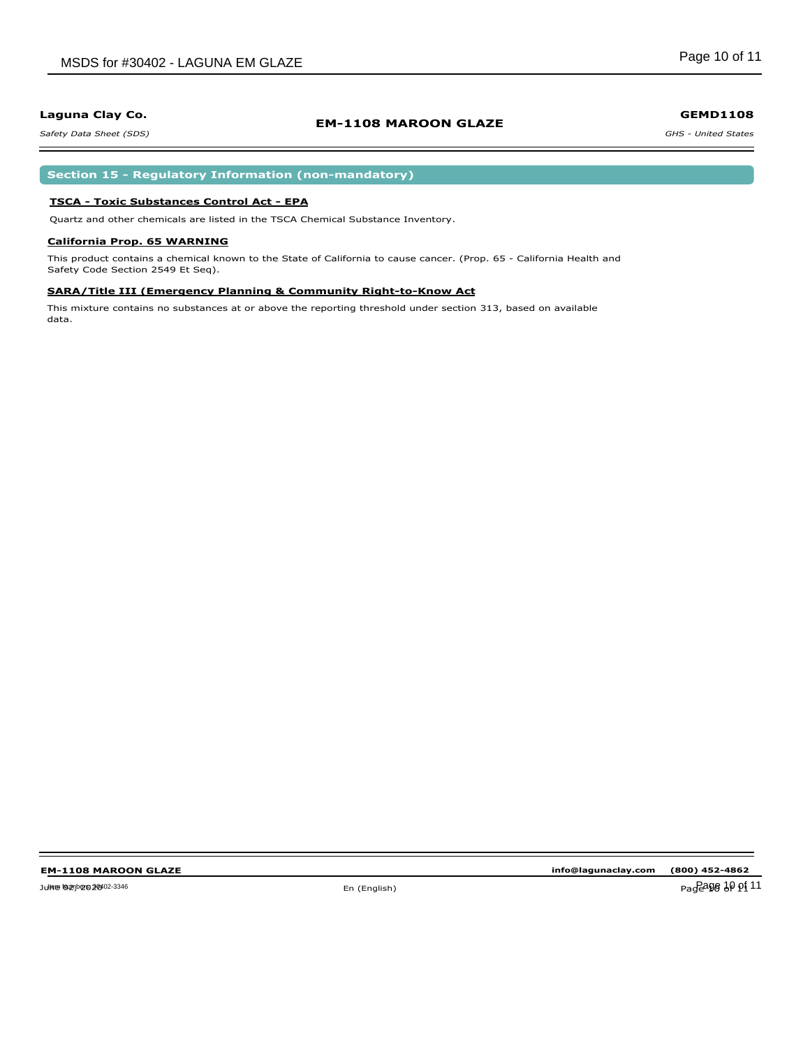### **EM-1108 MAROON GLAZE**

*Safety Data Sheet (SDS)* 

### **Section 15 - Regulatory Information (non-mandatory)**

### **TSCA - Toxic Substances Control Act - EPA**

Quartz and other chemicals are listed in the TSCA Chemical Substance Inventory.

#### **California Prop. 65 WARNING**

This product contains a chemical known to the State of California to cause cancer. (Prop. 65 - California Health and Safety Code Section 2549 Et Seq).

#### **SARA/Title III (Emergency Planning & Community Right-to-Know Act**

This mixture contains no substances at or above the reporting threshold under section 313, based on available data.

**info@lagunaclay.com (800) 452-4862**

Pageage 10 pf 11

#### **GEMD1108**

*GHS - United States*